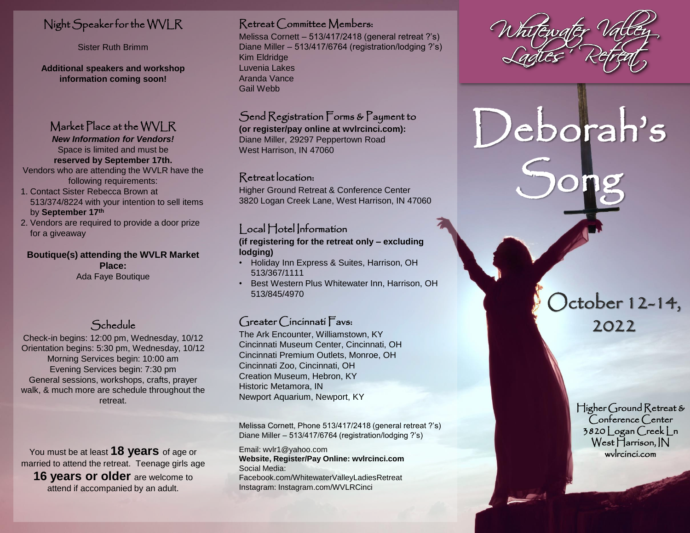# Night Speaker for the WVLR

Sister Ruth Brimm

**Additional speakers and workshop information coming soon!**

# Market Place at the WVLR

*New Information for Vendors!* Space is limited and must be **reserved by September 17th.**  Vendors who are attending the WVLR have the

following requirements: 1. Contact Sister Rebecca Brown at 513/374/8224 with your intention to sell items

by **September 17th**

2. Vendors are required to provide a door prize for a giveaway

**Boutique(s) attending the WVLR Market Place:** Ada Faye Boutique

# Schedule

Check-in begins: 12:00 pm, Wednesday, 10/12 Orientation begins: 5:30 pm, Wednesday, 10/12 Morning Services begin: 10:00 am Evening Services begin: 7:30 pm General sessions, workshops, crafts, prayer walk, & much more are schedule throughout the retreat.

You must be at least **18 years** of age or married to attend the retreat. Teenage girls age **16 years or older** are welcome to attend if accompanied by an adult.

## Retreat Committee Members:

Melissa Cornett – 513/417/2418 (general retreat ?'s) Diane Miller – 513/417/6764 (registration/lodging ?'s) Kim Eldridge Luvenia Lakes Aranda Vance Gail Webb

# Send Registration Forms & Payment to

**(or register/pay online at wvlrcinci.com):** Diane Miller, 29297 Peppertown Road West Harrison, IN 47060

# Retreat location:

Higher Ground Retreat & Conference Center 3820 Logan Creek Lane, West Harrison, IN 47060

# | ocal Hotel Information

**(if registering for the retreat only – excluding lodging)**

- Holiday Inn Express & Suites, Harrison, OH 513/367/1111
- Best Western Plus Whitewater Inn, Harrison, OH 513/845/4970

# Greater Cincinnati Favs:

The Ark Encounter, Williamstown, KY Cincinnati Museum Center, Cincinnati, OH Cincinnati Premium Outlets, Monroe, OH Cincinnati Zoo, Cincinnati, OH Creation Museum, Hebron, KY Historic Metamora, IN Newport Aquarium, Newport, KY

Melissa Cornett, Phone 513/417/2418 (general retreat ?'s) Diane Miller – 513/417/6764 (registration/lodging ?'s)

Email: wvlr1@yahoo.com **Website, Register/Pay Online: wvlrcinci.com** Social Media: Facebook.com/WhitewaterValleyLadiesRetreat Instagram: Instagram.com/WVLRCinci

Deborah's

Song

# 2022

October 12-14,

Higher Ground Retreat & Conference Center 3820 Logan Creek Ln West Harrison, IN wvlrcinci.com